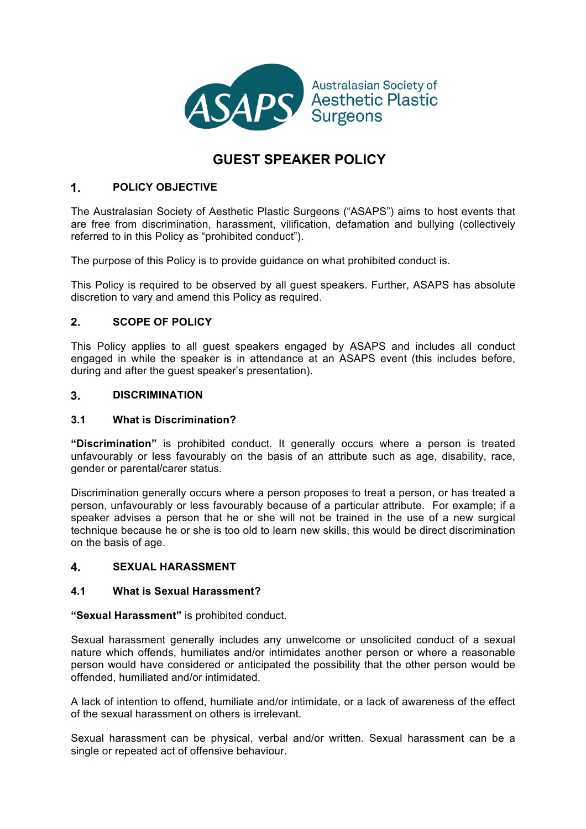

# **GUEST SPEAKER POLICY**

### $1<sup>1</sup>$ **POLICY OBJECTIVE**

The Australasian Society of Aesthetic Plastic Surgeons ("ASAPS") aims to host events that are free from discrimination, harassment, vilification, defamation and bullying (collectively referred to in this Policy as "prohibited conduct").

The purpose of this Policy is to provide guidance on what prohibited conduct is.

This Policy is required to be observed by all guest speakers. Further, ASAPS has absolute discretion to vary and amend this Policy as required.

### $2<sub>1</sub>$ **SCOPE OF POLICY**

This Policy applies to all guest speakers engaged by ASAPS and includes all conduct engaged in while the speaker is in attendance at an ASAPS event (this includes before, during and after the guest speaker's presentation).

#### $3<sub>1</sub>$ **DISCRIMINATION**

# **3.1 What is Discrimination?**

**"Discrimination"** is prohibited conduct. It generally occurs where a person is treated unfavourably or less favourably on the basis of an attribute such as age, disability, race, gender or parental/carer status.

Discrimination generally occurs where a person proposes to treat a person, or has treated a person, unfavourably or less favourably because of a particular attribute. For example; if a speaker advises a person that he or she will not be trained in the use of a new surgical technique because he or she is too old to learn new skills, this would be direct discrimination on the basis of age.

#### $\mathbf{4}$ **SEXUAL HARASSMENT**

# **4.1 What is Sexual Harassment?**

### **"Sexual Harassment"** is prohibited conduct.

Sexual harassment generally includes any unwelcome or unsolicited conduct of a sexual nature which offends, humiliates and/or intimidates another person or where a reasonable person would have considered or anticipated the possibility that the other person would be offended, humiliated and/or intimidated.

A lack of intention to offend, humiliate and/or intimidate, or a lack of awareness of the effect of the sexual harassment on others is irrelevant.

Sexual harassment can be physical, verbal and/or written. Sexual harassment can be a single or repeated act of offensive behaviour.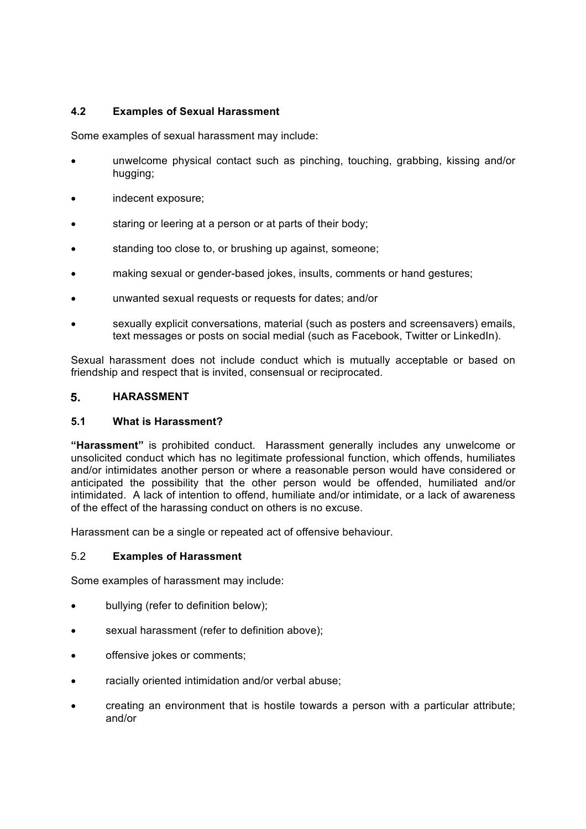# **4.2 Examples of Sexual Harassment**

Some examples of sexual harassment may include:

- unwelcome physical contact such as pinching, touching, grabbing, kissing and/or hugging;
- indecent exposure;
- staring or leering at a person or at parts of their body;
- standing too close to, or brushing up against, someone;
- making sexual or gender-based jokes, insults, comments or hand gestures;
- unwanted sexual requests or requests for dates; and/or
- sexually explicit conversations, material (such as posters and screensavers) emails, text messages or posts on social medial (such as Facebook, Twitter or LinkedIn).

Sexual harassment does not include conduct which is mutually acceptable or based on friendship and respect that is invited, consensual or reciprocated.

#### $5<sub>1</sub>$ **HARASSMENT**

### **5.1 What is Harassment?**

**"Harassment"** is prohibited conduct. Harassment generally includes any unwelcome or unsolicited conduct which has no legitimate professional function, which offends, humiliates and/or intimidates another person or where a reasonable person would have considered or anticipated the possibility that the other person would be offended, humiliated and/or intimidated. A lack of intention to offend, humiliate and/or intimidate, or a lack of awareness of the effect of the harassing conduct on others is no excuse.

Harassment can be a single or repeated act of offensive behaviour.

### 5.2 **Examples of Harassment**

Some examples of harassment may include:

- bullying (refer to definition below);
- sexual harassment (refer to definition above);
- offensive jokes or comments;
- racially oriented intimidation and/or verbal abuse;
- creating an environment that is hostile towards a person with a particular attribute; and/or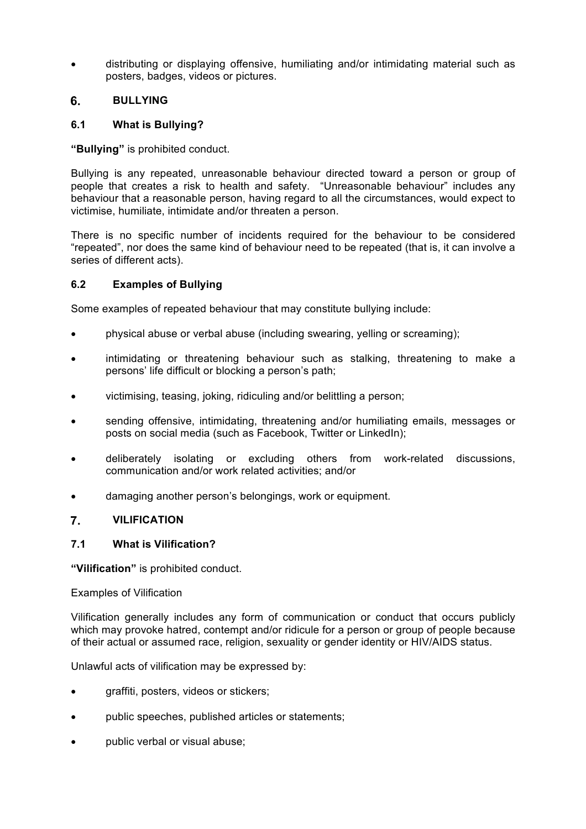• distributing or displaying offensive, humiliating and/or intimidating material such as posters, badges, videos or pictures.

### 6. **BULLYING**

# **6.1 What is Bullying?**

**"Bullying"** is prohibited conduct.

Bullying is any repeated, unreasonable behaviour directed toward a person or group of people that creates a risk to health and safety. "Unreasonable behaviour" includes any behaviour that a reasonable person, having regard to all the circumstances, would expect to victimise, humiliate, intimidate and/or threaten a person.

There is no specific number of incidents required for the behaviour to be considered "repeated", nor does the same kind of behaviour need to be repeated (that is, it can involve a series of different acts).

# **6.2 Examples of Bullying**

Some examples of repeated behaviour that may constitute bullying include:

- physical abuse or verbal abuse (including swearing, yelling or screaming);
- intimidating or threatening behaviour such as stalking, threatening to make a persons' life difficult or blocking a person's path;
- victimising, teasing, joking, ridiculing and/or belittling a person;
- sending offensive, intimidating, threatening and/or humiliating emails, messages or posts on social media (such as Facebook, Twitter or LinkedIn);
- deliberately isolating or excluding others from work-related discussions, communication and/or work related activities; and/or
- damaging another person's belongings, work or equipment.

### $\overline{7}$ . **VILIFICATION**

# **7.1 What is Vilification?**

**"Vilification"** is prohibited conduct.

### Examples of Vilification

Vilification generally includes any form of communication or conduct that occurs publicly which may provoke hatred, contempt and/or ridicule for a person or group of people because of their actual or assumed race, religion, sexuality or gender identity or HIV/AIDS status.

Unlawful acts of vilification may be expressed by:

- graffiti, posters, videos or stickers;
- public speeches, published articles or statements;
- public verbal or visual abuse;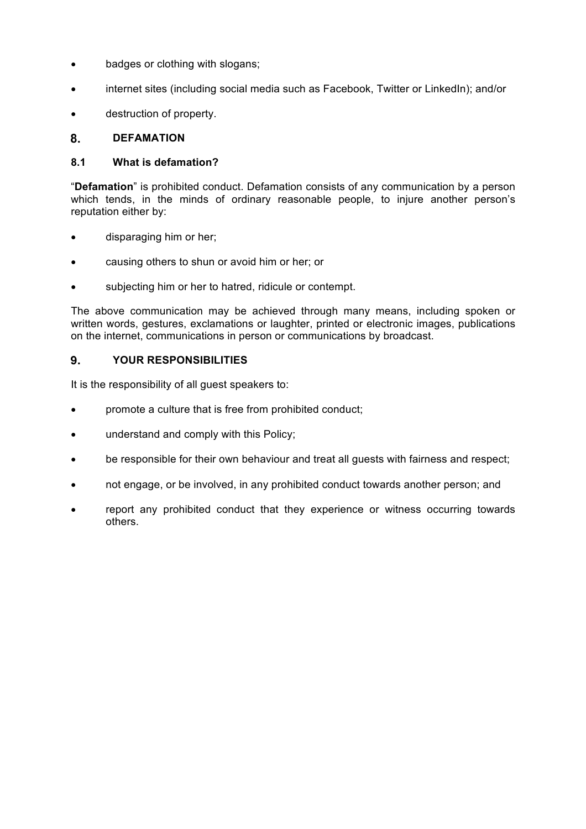- badges or clothing with slogans;
- internet sites (including social media such as Facebook, Twitter or LinkedIn); and/or
- destruction of property.

#### 8. **DEFAMATION**

### **8.1 What is defamation?**

"**Defamation**" is prohibited conduct. Defamation consists of any communication by a person which tends, in the minds of ordinary reasonable people, to injure another person's reputation either by:

- disparaging him or her;
- causing others to shun or avoid him or her; or
- subjecting him or her to hatred, ridicule or contempt.

The above communication may be achieved through many means, including spoken or written words, gestures, exclamations or laughter, printed or electronic images, publications on the internet, communications in person or communications by broadcast.

#### $9<sub>1</sub>$ **YOUR RESPONSIBILITIES**

It is the responsibility of all guest speakers to:

- promote a culture that is free from prohibited conduct;
- understand and comply with this Policy;
- be responsible for their own behaviour and treat all quests with fairness and respect;
- not engage, or be involved, in any prohibited conduct towards another person; and
- report any prohibited conduct that they experience or witness occurring towards others.